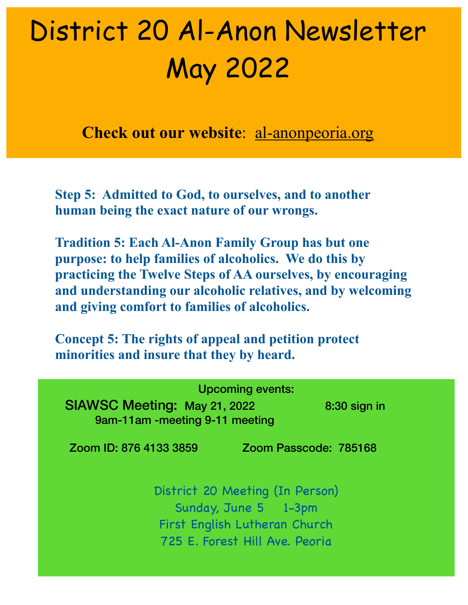## District 20 Al-Anon Newsletter May 2022

**Check out our website**: al-anonpeoria.org

**Step 5: Admitted to God, to ourselves, and to another human being the exact nature of our wrongs.**

**Tradition 5: Each Al-Anon Family Group has but one purpose: to help families of alcoholics. We do this by practicing the Twelve Steps of AA ourselves, by encouraging and understanding our alcoholic relatives, and by welcoming and giving comfort to families of alcoholics.** 

**Concept 5: The rights of appeal and petition protect minorities and insure that they by heard.**

| <b>Upcoming events:</b><br><b>SIAWSC Meeting: May 21, 2022</b><br>$8:30$ sign in<br>9am-11am -meeting 9-11 meeting         |                       |
|----------------------------------------------------------------------------------------------------------------------------|-----------------------|
| Zoom ID: 876 4133 3859                                                                                                     | Zoom Passcode: 785168 |
| District 20 Meeting (In Person)<br>Sunday, June 5 1-3pm<br>First English Lutheran Church<br>725 E. Forest Hill Ave. Peoria |                       |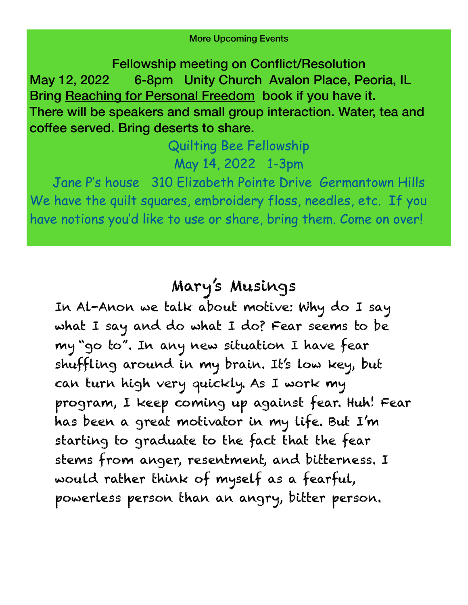More Upcoming Events

Fellowship meeting on Conflict/Resolution May 12, 2022 6-8pm Unity Church Avalon Place, Peoria, IL Bring Reaching for Personal Freedom book if you have it. There will be speakers and small group interaction. Water, tea and coffee served. Bring deserts to share.

## Quilting Bee Fellowship May 14, 2022 1-3pm

Jane P's house 310 Elizabeth Pointe Drive Germantown Hills We have the quilt squares, embroidery floss, needles, etc. If you have notions you'd like to use or share, bring them. Come on over!

## Mary's Musings

In Al-Anon we talk about motive: Why do I say what I say and do what I do? Fear seems to be my "go to". In any new situation I have fear shuffling around in my brain. It's low key, but can turn high very quickly. As I work my program, I keep coming up against fear. Huh! Fear has been a great motivator in my life. But I'm starting to graduate to the fact that the fear stems from anger, resentment, and bitterness. I would rather think of myself as a fearful, powerless person than an angry, bitter person.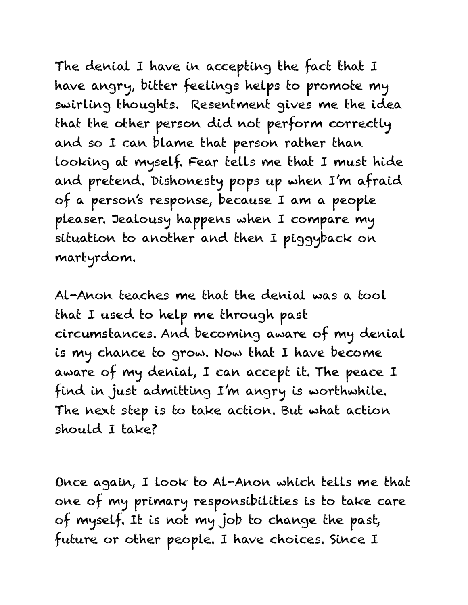The denial I have in accepting the fact that I have angry, bitter feelings helps to promote my swirling thoughts. Resentment gives me the idea that the other person did not perform correctly and so I can blame that person rather than looking at myself. Fear tells me that I must hide and pretend. Dishonesty pops up when I'm afraid of a person's response, because I am a people pleaser. Jealousy happens when I compare my situation to another and then I piggyback on martyrdom.

Al-Anon teaches me that the denial was a tool that I used to help me through past circumstances. And becoming aware of my denial is my chance to grow. Now that I have become aware of my denial, I can accept it. The peace I find in just admitting I'm angry is worthwhile. The next step is to take action. But what action should I take?

Once again, I look to Al-Anon which tells me that one of my primary responsibilities is to take care of myself. It is not my job to change the past, future or other people. I have choices. Since I